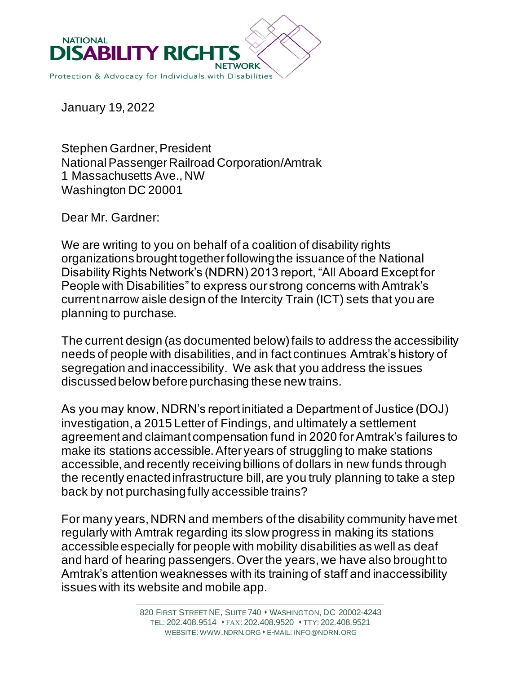

January 19, 2022

Stephen Gardner, President National Passenger Railroad Corporation/Amtrak 1 Massachusetts Ave., NW Washington DC 20001

Dear Mr. Gardner:

We are writing to you on behalf of a coalition of disability rights organizations brought together following the issuance of the National Disability Rights Network's (NDRN) 2013 report, "All Aboard Except for People with Disabilities" to express our strong concerns with Amtrak's current narrow aisle design of the Intercity Train (ICT) sets that you are planning to purchase.

The current design (as documented below) fails to address the accessibility needs of people with disabilities, and in fact continues Amtrak's history of segregation and inaccessibility. We ask that you address the issues discussed below before purchasing these new trains.

As you may know, NDRN's report initiated a Department of Justice (DOJ) investigation, a 2015 Letter of Findings, and ultimately a settlement agreement and claimant compensation fund in 2020 for Amtrak's failures to make its stations accessible. After years of struggling to make stations accessible, and recently receiving billions of dollars in new funds through the recently enacted infrastructure bill, are you truly planning to take a step back by not purchasing fully accessible trains?

For many years, NDRN and members of the disability community have met regularly with Amtrak regarding its slow progress in making its stations accessible especially for people with mobility disabilities as well as deaf and hard of hearing passengers. Over the years, we have also brought to Amtrak's attention weaknesses with its training of staff and inaccessibility issues with its website and mobile app.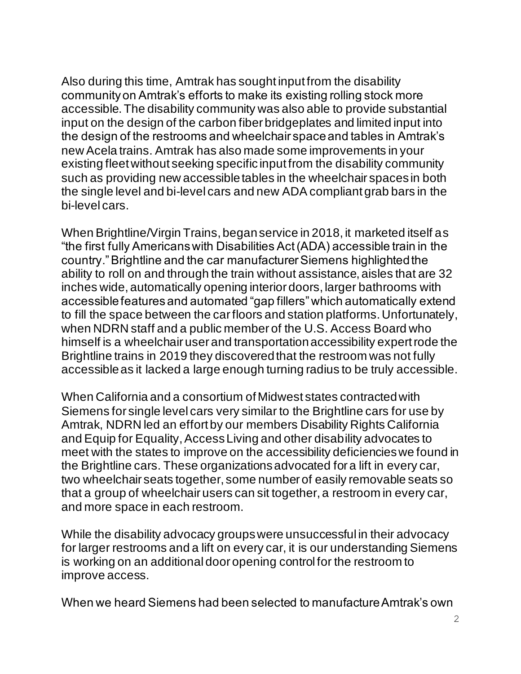Also during this time, Amtrak has sought input from the disability community on Amtrak's efforts to make its existing rolling stock more accessible. The disability community was also able to provide substantial input on the design of the carbon fiber bridgeplates and limited input into the design of the restrooms and wheelchair space and tables in Amtrak's new Acela trains. Amtrak has also made some improvements in your existing fleet without seeking specific input from the disability community such as providing new accessible tables in the wheelchair spaces in both the single level and bi-level cars and new ADA compliant grab bars in the bi-level cars.

When Brightline/Virgin Trains, began service in 2018, it marketed itself as "the first fully Americans with Disabilities Act (ADA) accessible train in the country." Brightline and the car manufacturer Siemens highlighted the ability to roll on and through the train without assistance, aisles that are 32 inches wide, automatically opening interior doors, larger bathrooms with accessible features and automated "gap fillers" which automatically extend to fill the space between the car floors and station platforms. Unfortunately, when NDRN staff and a public member of the U.S. Access Board who himself is a wheelchair user and transportation accessibility expert rode the Brightline trains in 2019 they discovered that the restroom was not fully accessible as it lacked a large enough turning radius to be truly accessible.

When California and a consortium of Midwest states contracted with Siemens for single level cars very similar to the Brightline cars for use by Amtrak, NDRN led an effort by our members Disability Rights California and Equip for Equality, Access Living and other disability advocates to meet with the states to improve on the accessibility deficiencies we found in the Brightline cars. These organizations advocated for a lift in every car, two wheelchair seats together, some number of easily removable seats so that a group of wheelchair users can sit together, a restroom in every car, and more space in each restroom.

While the disability advocacy groups were unsuccessful in their advocacy for larger restrooms and a lift on every car, it is our understanding Siemens is working on an additional door opening control for the restroom to improve access.

When we heard Siemens had been selected to manufacture Amtrak's own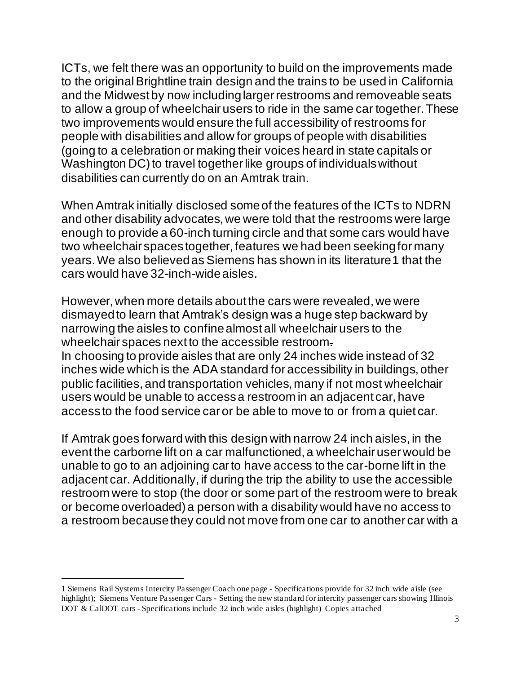ICTs, we felt there was an opportunity to build on the improvements made to the original Brightline train design and the trains to be used in California and the Midwest by now including larger restrooms and removeable seats to allow a group of wheelchair users to ride in the same car together. These two improvements would ensure the full accessibility of restrooms for people with disabilities and allow for groups of people with disabilities (going to a celebration or making their voices heard in state capitals or Washington DC) to travel together like groups of individuals without disabilities can currently do on an Amtrak train.

When Amtrak initially disclosed some of the features of the ICTs to NDRN and other disability advocates, we were told that the restrooms were large enough to provide a 60-inch turning circle and that some cars would have two wheelchair spaces together, features we had been seeking for many years. We also believed as Siemens has shown in its literature1 that the cars would have 32-inch-wide aisles.

However, when more details about the cars were revealed, we were dismayed to learn that Amtrak's design was a huge step backward by narrowing the aisles to confine almost all wheelchair users to the wheelchair spaces next to the accessible restroom. In choosing to provide aisles that are only 24 inches wide instead of 32 inches wide which is the ADA standard for accessibility in buildings, other public facilities, and transportation vehicles, many if not most wheelchair users would be unable to access a restroom in an adjacent car, have access to the food service car or be able to move to or from a quiet car.

If Amtrak goes forward with this design with narrow 24 inch aisles, in the event the carborne lift on a car malfunctioned, a wheelchair user would be unable to go to an adjoining car to have access to the car-borne lift in the adjacent car. Additionally, if during the trip the ability to use the accessible restroom were to stop (the door or some part of the restroom were to break or become overloaded) a person with a disability would have no access to a restroom because they could not move from one car to another car with a

<sup>1</sup> Siemens Rail Systems Intercity Passenger Coach one page - Specifications provide for 32 inch wide aisle (see highlight); Siemens Venture Passenger Cars - Setting the new standard for intercity passenger cars showing Illinois DOT & CalDOT cars - Specifications include 32 inch wide aisles (highlight) Copies attached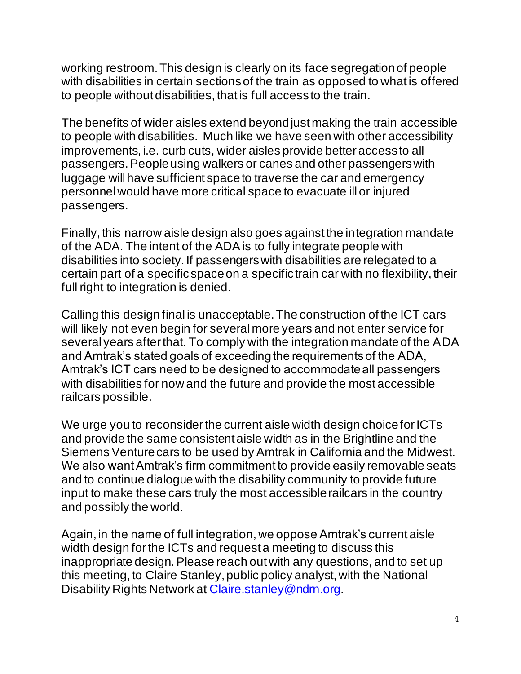working restroom. This design is clearly on its face segregation of people with disabilities in certain sections of the train as opposed to what is offered to people without disabilities, that is full access to the train.

The benefits of wider aisles extend beyond just making the train accessible to people with disabilities. Much like we have seen with other accessibility improvements, i.e. curb cuts, wider aisles provide better access to all passengers. People using walkers or canes and other passengers with luggage will have sufficient space to traverse the car and emergency personnel would have more critical space to evacuate ill or injured passengers.

Finally, this narrow aisle design also goes against the integration mandate of the ADA. The intent of the ADA is to fully integrate people with disabilities into society. If passengers with disabilities are relegated to a certain part of a specific space on a specific train car with no flexibility, their full right to integration is denied.

Calling this design final is unacceptable. The construction of the ICT cars will likely not even begin for several more years and not enter service for several years after that. To comply with the integration mandate of the ADA and Amtrak's stated goals of exceeding the requirements of the ADA, Amtrak's ICT cars need to be designed to accommodate all passengers with disabilities for now and the future and provide the most accessible railcars possible.

We urge you to reconsider the current aisle width design choice for ICTs and provide the same consistent aisle width as in the Brightline and the Siemens Venture cars to be used by Amtrak in California and the Midwest. We also want Amtrak's firm commitment to provide easily removable seats and to continue dialogue with the disability community to provide future input to make these cars truly the most accessible railcars in the country and possibly the world.

Again, in the name of full integration, we oppose Amtrak's current aisle width design for the ICTs and request a meeting to discuss this inappropriate design. Please reach out with any questions, and to set up this meeting, to Claire Stanley, public policy analyst, with the National Disability Rights Network at Claire.stanley@ndrn.org.